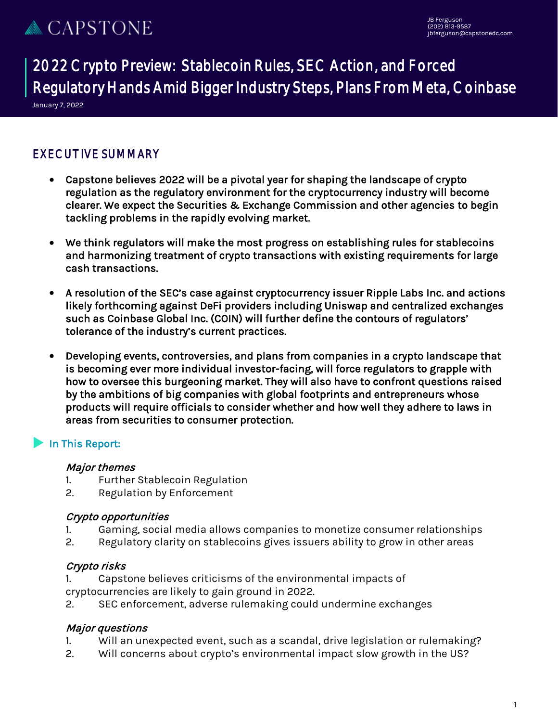2022 Crypto Preview: Stablecoin Rules, SEC Action, and Forced Regulatory Hands Amid Bigger Industry Steps, Plans From Meta, Coinbase

January 7, 2022  $\overline{a}$ 

### EXECUTIVE SUMMARY

- Capstone believes 2022 will be a pivotal year for shaping the landscape of crypto regulation as the regulatory environment for the cryptocurrency industry will become clearer. We expect the Securities & Exchange Commission and other agencies to begin tackling problems in the rapidly evolving market.
- We think regulators will make the most progress on establishing rules for stablecoins and harmonizing treatment of crypto transactions with existing requirements for large cash transactions.
- A resolution of the SEC's case against cryptocurrency issuer Ripple Labs Inc. and actions likely forthcoming against DeFi providers including Uniswap and centralized exchanges such as Coinbase Global Inc. (COIN) will further define the contours of regulators' tolerance of the industry's current practices.
- Developing events, controversies, and plans from companies in a crypto landscape that is becoming ever more individual investor-facing, will force regulators to grapple with how to oversee this burgeoning market. They will also have to confront questions raised by the ambitions of big companies with global footprints and entrepreneurs whose products will require officials to consider whether and how well they adhere to laws in areas from securities to consumer protection.

### In This Report:

#### Major themes

- 1. Further Stablecoin Regulation
- 2. Regulation by Enforcement

#### Crypto opportunities

- 1. Gaming, social media allows companies to monetize consumer relationships
- 2. Regulatory clarity on stablecoins gives issuers ability to grow in other areas

#### Crypto risks

- 1. Capstone believes criticisms of the environmental impacts of cryptocurrencies are likely to gain ground in 2022.
- 2. SEC enforcement, adverse rulemaking could undermine exchanges

#### Major questions

- 1. Will an unexpected event, such as a scandal, drive legislation or rulemaking?
- 2. Will concerns about crypto's environmental impact slow growth in the US?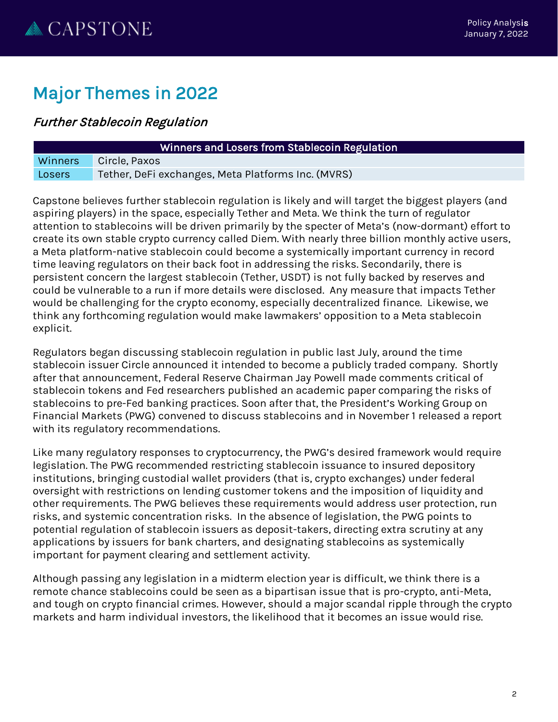# Major Themes in 2022

## Further Stablecoin Regulation

|                | Winners and Losers from Stablecoin Regu            |
|----------------|----------------------------------------------------|
| <b>Winners</b> | Circle, Paxos                                      |
| Losers         | Tether, DeFi exchanges, Meta Platforms Inc. (MVRS) |

Capstone believes further stablecoin regulation is likely and will target the biggest players (and aspiring players) in the space, especially Tether and Meta. We think the turn of regulator attention to stablecoins will be driven primarily by the specter of Meta's (now-dormant) effort to create its own stable crypto currency called Diem. With nearly three billion monthly active users, a Meta platform-native stablecoin could become a systemically important currency in record time leaving regulators on their back foot in addressing the risks. Secondarily, there is persistent concern the largest stablecoin (Tether, USDT) is not fully backed by reserves and could be vulnerable to a run if more details were disclosed. Any measure that impacts Tether would be challenging for the crypto economy, especially decentralized finance. Likewise, we think any forthcoming regulation would make lawmakers' opposition to a Meta stablecoin explicit.

Ilation

Regulators began discussing stablecoin regulation in public last July, around the time stablecoin issuer Circle announced it intended to become a publicly traded company. Shortly after that announcement, Federal Reserve Chairman Jay Powell made comments critical of stablecoin tokens and Fed researchers published an academic paper comparing the risks of stablecoins to pre-Fed banking practices. Soon after that, the President's Working Group on Financial Markets (PWG) convened to discuss stablecoins and in November 1 released a report with its regulatory recommendations.

Like many regulatory responses to cryptocurrency, the PWG's desired framework would require legislation. The PWG recommended restricting stablecoin issuance to insured depository institutions, bringing custodial wallet providers (that is, crypto exchanges) under federal oversight with restrictions on lending customer tokens and the imposition of liquidity and other requirements. The PWG believes these requirements would address user protection, run risks, and systemic concentration risks. In the absence of legislation, the PWG points to potential regulation of stablecoin issuers as deposit-takers, directing extra scrutiny at any applications by issuers for bank charters, and designating stablecoins as systemically important for payment clearing and settlement activity.

Although passing any legislation in a midterm election year is difficult, we think there is a remote chance stablecoins could be seen as a bipartisan issue that is pro-crypto, anti-Meta, and tough on crypto financial crimes. However, should a major scandal ripple through the crypto markets and harm individual investors, the likelihood that it becomes an issue would rise.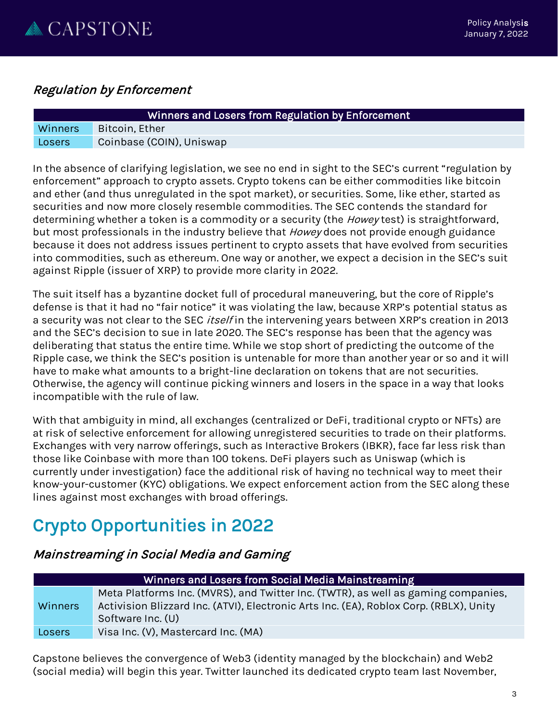

### Regulation by Enforcement

| Winners and Losers from Regulation by Enforcement |                          |
|---------------------------------------------------|--------------------------|
| <b>Winners</b>                                    | Bitcoin, Ether           |
| Losers                                            | Coinbase (COIN), Uniswap |

In the absence of clarifying legislation, we see no end in sight to the SEC's current "regulation by enforcement" approach to crypto assets. Crypto tokens can be either commodities like bitcoin and ether (and thus unregulated in the spot market), or securities. Some, like ether, started as securities and now more closely resemble commodities. The SEC contends the standard for determining whether a token is a commodity or a security (the *Howey* test) is straightforward, but most professionals in the industry believe that Howey does not provide enough guidance because it does not address issues pertinent to crypto assets that have evolved from securities into commodities, such as ethereum. One way or another, we expect a decision in the SEC's suit against Ripple (issuer of XRP) to provide more clarity in 2022.

The suit itself has a byzantine docket full of procedural maneuvering, but the core of Ripple's defense is that it had no "fair notice" it was violating the law, because XRP's potential status as a security was not clear to the SEC *itself* in the intervening years between XRP's creation in 2013 and the SEC's decision to sue in late 2020. The SEC's response has been that the agency was deliberating that status the entire time. While we stop short of predicting the outcome of the Ripple case, we think the SEC's position is untenable for more than another year or so and it will have to make what amounts to a bright-line declaration on tokens that are not securities. Otherwise, the agency will continue picking winners and losers in the space in a way that looks incompatible with the rule of law.

With that ambiguity in mind, all exchanges (centralized or DeFi, traditional crypto or NFTs) are at risk of selective enforcement for allowing unregistered securities to trade on their platforms. Exchanges with very narrow offerings, such as Interactive Brokers (IBKR), face far less risk than those like Coinbase with more than 100 tokens. DeFi players such as Uniswap (which is currently under investigation) face the additional risk of having no technical way to meet their know-your-customer (KYC) obligations. We expect enforcement action from the SEC along these lines against most exchanges with broad offerings.

# Crypto Opportunities in 2022

### Mainstreaming in Social Media and Gaming

| Winners and Losers from Social Media Mainstreaming |                                                                                                                                                                                                  |  |
|----------------------------------------------------|--------------------------------------------------------------------------------------------------------------------------------------------------------------------------------------------------|--|
| <b>Winners</b>                                     | Meta Platforms Inc. (MVRS), and Twitter Inc. (TWTR), as well as gaming companies,<br>Activision Blizzard Inc. (ATVI), Electronic Arts Inc. (EA), Roblox Corp. (RBLX), Unity<br>Software Inc. (U) |  |
| Losers                                             | Visa Inc. (V), Mastercard Inc. (MA)                                                                                                                                                              |  |

Capstone believes the convergence of Web3 (identity managed by the blockchain) and Web2 (social media) will begin this year. Twitter launched its dedicated crypto team last November,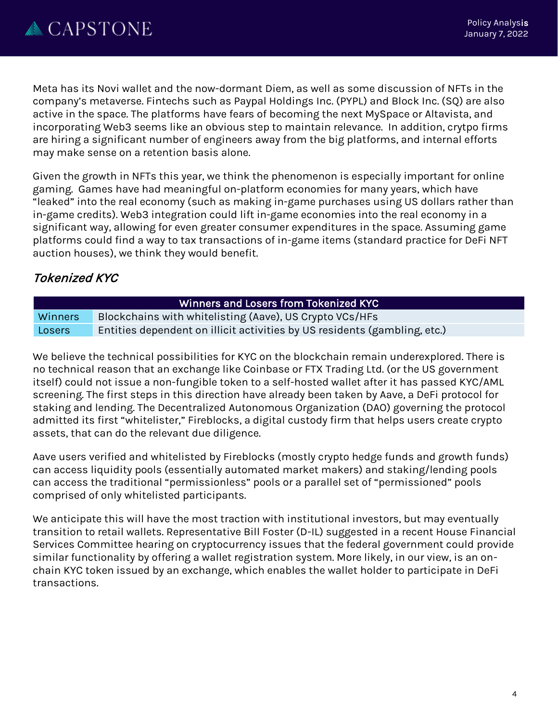Meta has its Novi wallet and the now-dormant Diem, as well as some discussion of NFTs in the company's metaverse. Fintechs such as Paypal Holdings Inc. (PYPL) and Block Inc. (SQ) are also active in the space. The platforms have fears of becoming the next MySpace or Altavista, and incorporating Web3 seems like an obvious step to maintain relevance. In addition, crytpo firms are hiring a significant number of engineers away from the big platforms, and internal efforts may make sense on a retention basis alone.

Given the growth in NFTs this year, we think the phenomenon is especially important for online gaming. Games have had meaningful on-platform economies for many years, which have "leaked" into the real economy (such as making in-game purchases using US dollars rather than in-game credits). Web3 integration could lift in-game economies into the real economy in a significant way, allowing for even greater consumer expenditures in the space. Assuming game platforms could find a way to tax transactions of in-game items (standard practice for DeFi NFT auction houses), we think they would benefit.

## Tokenized KYC

| Winners and Losers from Tokenized KYC |                                                                           |
|---------------------------------------|---------------------------------------------------------------------------|
| <b>Winners</b>                        | Blockchains with whitelisting (Aave), US Crypto VCs/HFs                   |
| Losers                                | Entities dependent on illicit activities by US residents (gambling, etc.) |

We believe the technical possibilities for KYC on the blockchain remain underexplored. There is no technical reason that an exchange like Coinbase or FTX Trading Ltd. (or the US government itself) could not issue a non-fungible token to a self-hosted wallet after it has passed KYC/AML screening. The first steps in this direction have already been taken by Aave, a DeFi protocol for staking and lending. The Decentralized Autonomous Organization (DAO) governing the protocol admitted its first "whitelister," Fireblocks, a digital custody firm that helps users create crypto assets, that can do the relevant due diligence.

Aave users verified and whitelisted by Fireblocks (mostly crypto hedge funds and growth funds) can access liquidity pools (essentially automated market makers) and staking/lending pools can access the traditional "permissionless" pools or a parallel set of "permissioned" pools comprised of only whitelisted participants.

We anticipate this will have the most traction with institutional investors, but may eventually transition to retail wallets. Representative Bill Foster (D-IL) suggested in a recent House Financial Services Committee hearing on cryptocurrency issues that the federal government could provide similar functionality by offering a wallet registration system. More likely, in our view, is an onchain KYC token issued by an exchange, which enables the wallet holder to participate in DeFi transactions.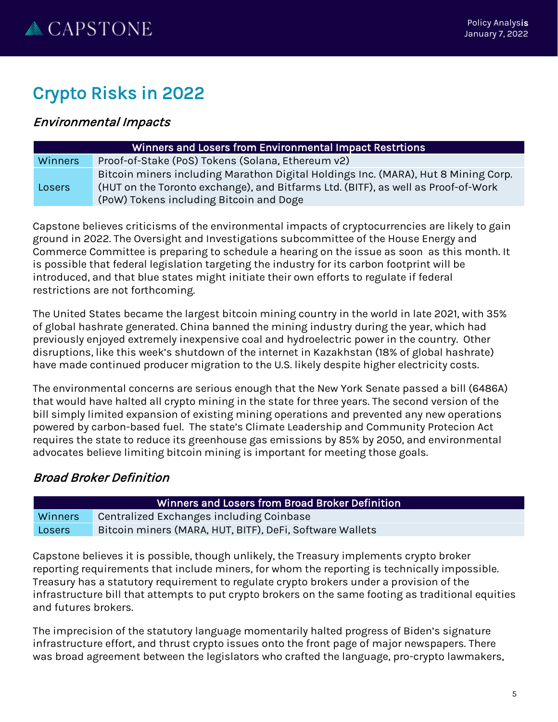# Crypto Risks in 2022

## Environmental Impacts

| Winners and Losers from Environmental Impact Restrtions |                                                                                                                                                                                                                    |  |
|---------------------------------------------------------|--------------------------------------------------------------------------------------------------------------------------------------------------------------------------------------------------------------------|--|
| <b>Winners</b>                                          | Proof-of-Stake (PoS) Tokens (Solana, Ethereum v2)                                                                                                                                                                  |  |
| Losers                                                  | Bitcoin miners including Marathon Digital Holdings Inc. (MARA), Hut 8 Mining Corp.<br>(HUT on the Toronto exchange), and Bitfarms Ltd. (BITF), as well as Proof-of-Work<br>(PoW) Tokens including Bitcoin and Doge |  |

Capstone believes criticisms of the environmental impacts of cryptocurrencies are likely to gain ground in 2022. The Oversight and Investigations subcommittee of the House Energy and Commerce Committee is preparing to schedule a hearing on the issue as soon as this month. It is possible that federal legislation targeting the industry for its carbon footprint will be introduced, and that blue states might initiate their own efforts to regulate if federal restrictions are not forthcoming.

The United States became the largest bitcoin mining country in the world in late 2021, with 35% of global hashrate generated. China banned the mining industry during the year, which had previously enjoyed extremely inexpensive coal and hydroelectric power in the country. Other disruptions, like this week's shutdown of the internet in Kazakhstan (18% of global hashrate) have made continued producer migration to the U.S. likely despite higher electricity costs.

The environmental concerns are serious enough that the New York Senate passed a bill (6486A) that would have halted all crypto mining in the state for three years. The second version of the bill simply limited expansion of existing mining operations and prevented any new operations powered by carbon-based fuel. The state's Climate Leadership and Community Protecion Act requires the state to reduce its greenhouse gas emissions by 85% by 2050, and environmental advocates believe limiting bitcoin mining is important for meeting those goals.

## Broad Broker Definition

| Winners and Losers from Broad Broker Definition , |                                                          |  |
|---------------------------------------------------|----------------------------------------------------------|--|
| <b>Winners</b>                                    | Centralized Exchanges including Coinbase                 |  |
| Losers                                            | Bitcoin miners (MARA, HUT, BITF), DeFi, Software Wallets |  |

Capstone believes it is possible, though unlikely, the Treasury implements crypto broker reporting requirements that include miners, for whom the reporting is technically impossible. Treasury has a statutory requirement to regulate crypto brokers under a provision of the infrastructure bill that attempts to put crypto brokers on the same footing as traditional equities and futures brokers.

The imprecision of the statutory language momentarily halted progress of Biden's signature infrastructure effort, and thrust crypto issues onto the front page of major newspapers. There was broad agreement between the legislators who crafted the language, pro-crypto lawmakers,